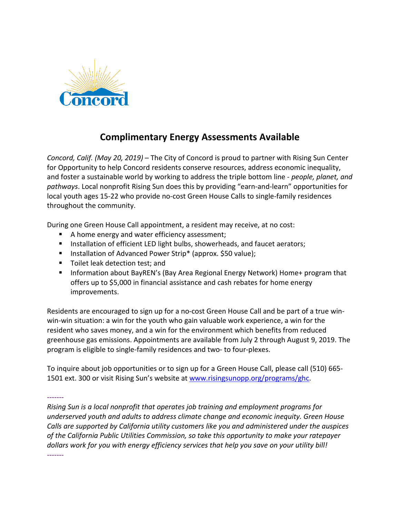

## **Complimentary Energy Assessments Available**

*Concord, Calif. (May 20, 2019)* – The City of Concord is proud to partner with Rising Sun Center for Opportunity to help Concord residents conserve resources, address economic inequality, and foster a sustainable world by working to address the triple bottom line - *people, planet, and pathways*. Local nonprofit Rising Sun does this by providing "earn-and-learn" opportunities for local youth ages 15-22 who provide no-cost Green House Calls to single-family residences throughout the community.

During one Green House Call appointment, a resident may receive, at no cost:

- A home energy and water efficiency assessment;
- **Installation of efficient LED light bulbs, showerheads, and faucet aerators;**
- **Installation of Advanced Power Strip\* (approx. \$50 value);**
- Toilet leak detection test; and
- Information about BayREN's (Bay Area Regional Energy Network) Home+ program that offers up to \$5,000 in financial assistance and cash rebates for home energy improvements.

Residents are encouraged to sign up for a no-cost Green House Call and be part of a true winwin-win situation: a win for the youth who gain valuable work experience, a win for the resident who saves money, and a win for the environment which benefits from reduced greenhouse gas emissions. Appointments are available from July 2 through August 9, 2019. The program is eligible to single-family residences and two- to four-plexes.

To inquire about job opportunities or to sign up for a Green House Call, please call (510) 665- 1501 ext. 300 or visit Rising Sun's website at [www.risingsunopp.org/programs/ghc.](http://www.risingsunopp.org/programs/ghc)

-------

*Rising Sun is a local nonprofit that operates job training and employment programs for underserved youth and adults to address climate change and economic inequity. Green House Calls are supported by California utility customers like you and administered under the auspices of the California Public Utilities Commission, so take this opportunity to make your ratepayer dollars work for you with energy efficiency services that help you save on your utility bill!* -------